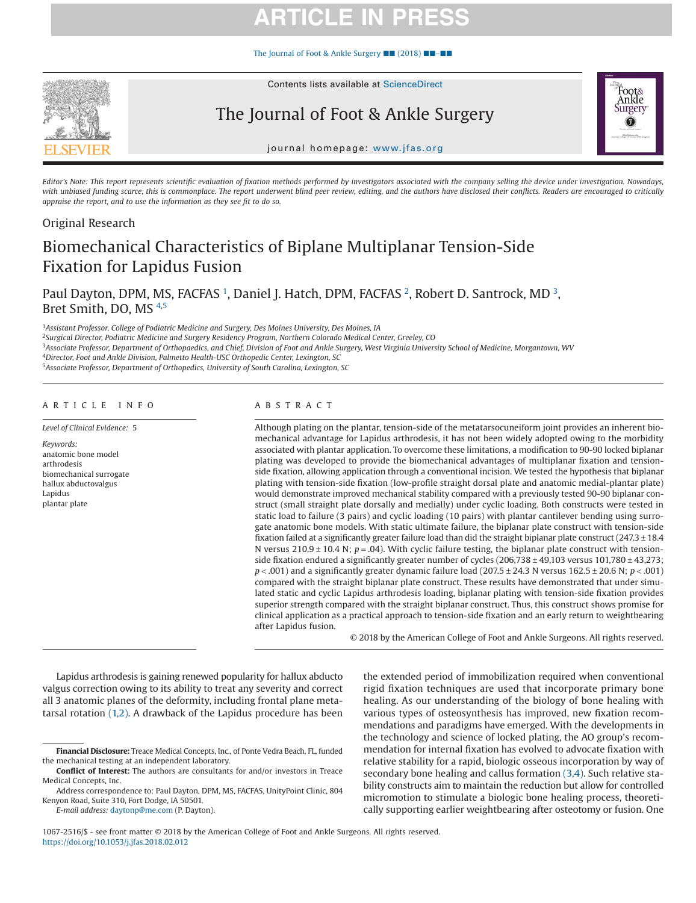# **ARTICLE IN PR**

[The Journal of Foot & Ankle Surgery](https://doi.org/10.1053/j.jfas.2018.02.012) ■■ (2018) ■■–■■



Contents lists available at ScienceDirect

### The Journal of Foot & Ankle Surgery

journal homepage: [www.jfas.org](http://www.jfas.org)

*Editor's Note: This report represents scientific evaluation of fixation methods performed by investigators associated with the company selling the device under investigation. Nowadays, with unbiased funding scarce, this is commonplace. The report underwent blind peer review, editing, and the authors have disclosed their conflicts. Readers are encouraged to critically appraise the report, and to use the information as they see fit to do so.*

### Original Research

### Biomechanical Characteristics of Biplane Multiplanar Tension-Side Fixation for Lapidus Fusion

Paul Dayton, DPM, MS, FACFAS <sup>[1](#page-0-0)</sup>, Daniel J. Hatch, DPM, FACFAS <sup>[2](#page-0-1)</sup>, Robert D. Santrock, MD <sup>[3](#page-0-2)</sup>, Bret Smith, DO, MS [4](#page-0-3)[,5](#page-0-4)

<span id="page-0-0"></span><sup>1</sup>*Assistant Professor, College of Podiatric Medicine and Surgery, Des Moines University, Des Moines, IA*

<span id="page-0-1"></span><sup>2</sup>*Surgical Director, Podiatric Medicine and Surgery Residency Program, Northern Colorado Medical Center, Greeley, CO*

<span id="page-0-2"></span><sup>3</sup>*Associate Professor, Department of Orthopaedics, and Chief, Division of Foot and Ankle Surgery, West Virginia University School of Medicine, Morgantown, WV*

<span id="page-0-3"></span><sup>4</sup>*Director, Foot and Ankle Division, Palmetto Health-USC Orthopedic Center, Lexington, SC*

<span id="page-0-4"></span><sup>5</sup>*Associate Professor, Department of Orthopedics, University of South Carolina, Lexington, SC*

#### ARTICLE INFO

*Level of Clinical Evidence:* 5 *Keywords:*

anatomic bone model arthrodesis biomechanical surrogate hallux abductovalgus Lapidus plantar plate

#### ABSTRACT

Although plating on the plantar, tension-side of the metatarsocuneiform joint provides an inherent biomechanical advantage for Lapidus arthrodesis, it has not been widely adopted owing to the morbidity associated with plantar application. To overcome these limitations, a modification to 90-90 locked biplanar plating was developed to provide the biomechanical advantages of multiplanar fixation and tensionside fixation, allowing application through a conventional incision. We tested the hypothesis that biplanar plating with tension-side fixation (low-profile straight dorsal plate and anatomic medial-plantar plate) would demonstrate improved mechanical stability compared with a previously tested 90-90 biplanar construct (small straight plate dorsally and medially) under cyclic loading. Both constructs were tested in static load to failure (3 pairs) and cyclic loading (10 pairs) with plantar cantilever bending using surrogate anatomic bone models. With static ultimate failure, the biplanar plate construct with tension-side fixation failed at a significantly greater failure load than did the straight biplanar plate construct (247.3 ± 18.4 N versus 210.9  $\pm$  10.4 N;  $p = .04$ ). With cyclic failure testing, the biplanar plate construct with tensionside fixation endured a significantly greater number of cycles  $(206,738 \pm 49,103$  versus  $101,780 \pm 43,273$ ; *p* < .001) and a significantly greater dynamic failure load (207.5 ± 24.3 N versus 162.5 ± 20.6 N; *p* < .001) compared with the straight biplanar plate construct. These results have demonstrated that under simulated static and cyclic Lapidus arthrodesis loading, biplanar plating with tension-side fixation provides superior strength compared with the straight biplanar construct. Thus, this construct shows promise for clinical application as a practical approach to tension-side fixation and an early return to weightbearing after Lapidus fusion.

© 2018 by the American College of Foot and Ankle Surgeons. All rights reserved.

Foot& Ankle Surgery o

Lapidus arthrodesis is gaining renewed popularity for hallux abducto valgus correction owing to its ability to treat any severity and correct all 3 anatomic planes of the deformity, including frontal plane metatarsal rotation [\(1,2\).](#page-4-0) A drawback of the Lapidus procedure has been

*E-mail address:* [daytonp@me.com](mailto:daytonp@me.com) (P. Dayton).

the extended period of immobilization required when conventional rigid fixation techniques are used that incorporate primary bone healing. As our understanding of the biology of bone healing with various types of osteosynthesis has improved, new fixation recommendations and paradigms have emerged. With the developments in the technology and science of locked plating, the AO group's recommendation for internal fixation has evolved to advocate fixation with relative stability for a rapid, biologic osseous incorporation by way of secondary bone healing and callus formation [\(3,4\).](#page-4-1) Such relative stability constructs aim to maintain the reduction but allow for controlled micromotion to stimulate a biologic bone healing process, theoretically supporting earlier weightbearing after osteotomy or fusion. One

1067-2516/\$ - see front matter © 2018 by the American College of Foot and Ankle Surgeons. All rights reserved. https://doi.org/10.1053/j.jfas.2018.02.012

**Financial Disclosure:** Treace Medical Concepts, Inc., of Ponte Vedra Beach, FL, funded the mechanical testing at an independent laboratory.

**Conflict of Interest:** The authors are consultants for and/or investors in Treace Medical Concepts, Inc.

Address correspondence to: Paul Dayton, DPM, MS, FACFAS, UnityPoint Clinic, 804 Kenyon Road, Suite 310, Fort Dodge, IA 50501.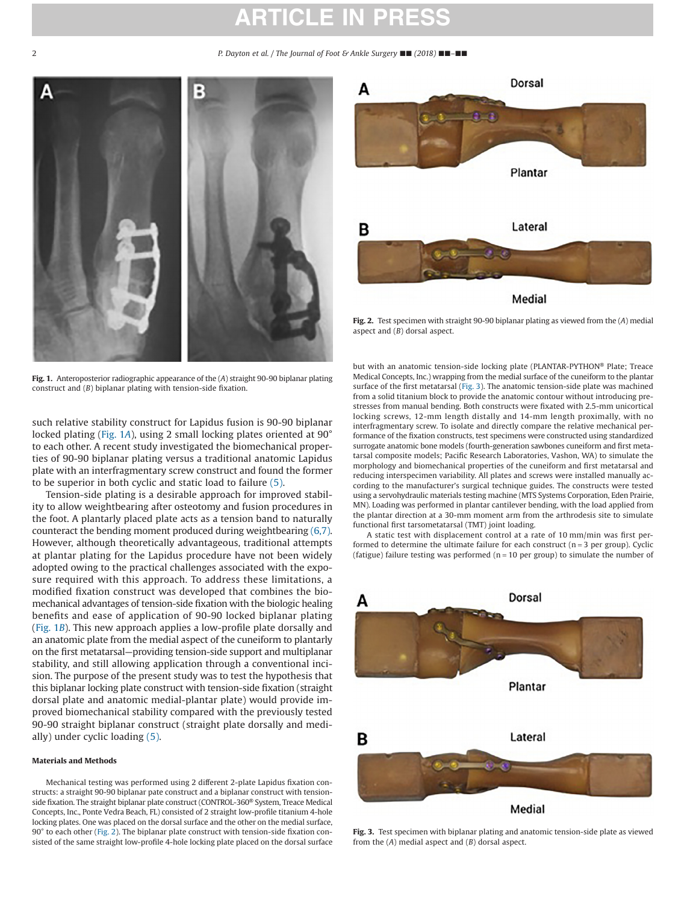## **ARTICLE IN PR**

2 *P. Dayton et al. / The Journal of Foot & Ankle Surgery* ■■ *(2018)* ■■*–*■■



**Fig. 1.** Anteroposterior radiographic appearance of the (*A*) straight 90-90 biplanar plating construct and (*B*) biplanar plating with tension-side fixation.

<span id="page-1-0"></span>such relative stability construct for Lapidus fusion is 90-90 biplanar locked plating [\(Fig. 1](#page-1-0)*A*), using 2 small locking plates oriented at 90° to each other. A recent study investigated the biomechanical properties of 90-90 biplanar plating versus a traditional anatomic Lapidus plate with an interfragmentary screw construct and found the former to be superior in both cyclic and static load to failure [\(5\).](#page-4-2)

Tension-side plating is a desirable approach for improved stability to allow weightbearing after osteotomy and fusion procedures in the foot. A plantarly placed plate acts as a tension band to naturally counteract the bending moment produced during weightbearing [\(6,7\).](#page-4-3) However, although theoretically advantageous, traditional attempts at plantar plating for the Lapidus procedure have not been widely adopted owing to the practical challenges associated with the exposure required with this approach. To address these limitations, a modified fixation construct was developed that combines the biomechanical advantages of tension-side fixation with the biologic healing benefits and ease of application of 90-90 locked biplanar plating [\(Fig. 1](#page-1-0)*B*). This new approach applies a low-profile plate dorsally and an anatomic plate from the medial aspect of the cuneiform to plantarly on the first metatarsal—providing tension-side support and multiplanar stability, and still allowing application through a conventional incision. The purpose of the present study was to test the hypothesis that this biplanar locking plate construct with tension-side fixation (straight dorsal plate and anatomic medial-plantar plate) would provide improved biomechanical stability compared with the previously tested 90-90 straight biplanar construct (straight plate dorsally and medially) under cyclic loading [\(5\).](#page-4-2)

#### **Materials and Methods**

Mechanical testing was performed using 2 different 2-plate Lapidus fixation constructs: a straight 90-90 biplanar pate construct and a biplanar construct with tensionside fixation. The straight biplanar plate construct (CONTROL-360® System, Treace Medical Concepts, Inc., Ponte Vedra Beach, FL) consisted of 2 straight low-profile titanium 4-hole locking plates. One was placed on the dorsal surface and the other on the medial surface, 90° to each other [\(Fig. 2\)](#page-1-1). The biplanar plate construct with tension-side fixation consisted of the same straight low-profile 4-hole locking plate placed on the dorsal surface



<span id="page-1-1"></span>**Fig. 2.** Test specimen with straight 90-90 biplanar plating as viewed from the (*A*) medial aspect and (*B*) dorsal aspect.

but with an anatomic tension-side locking plate (PLANTAR-PYTHON® Plate; Treace Medical Concepts, Inc.) wrapping from the medial surface of the cuneiform to the plantar surface of the first metatarsal [\(Fig. 3\)](#page-1-2). The anatomic tension-side plate was machined from a solid titanium block to provide the anatomic contour without introducing prestresses from manual bending. Both constructs were fixated with 2.5-mm unicortical locking screws, 12-mm length distally and 14-mm length proximally, with no interfragmentary screw. To isolate and directly compare the relative mechanical performance of the fixation constructs, test specimens were constructed using standardized surrogate anatomic bone models (fourth-generation sawbones cuneiform and first metatarsal composite models; Pacific Research Laboratories, Vashon, WA) to simulate the morphology and biomechanical properties of the cuneiform and first metatarsal and reducing interspecimen variability. All plates and screws were installed manually according to the manufacturer's surgical technique guides. The constructs were tested using a servohydraulic materials testing machine (MTS Systems Corporation, Eden Prairie, MN). Loading was performed in plantar cantilever bending, with the load applied from the plantar direction at a 30-mm moment arm from the arthrodesis site to simulate functional first tarsometatarsal (TMT) joint loading.

A static test with displacement control at a rate of 10 mm/min was first performed to determine the ultimate failure for each construct  $(n = 3$  per group). Cyclic (fatigue) failure testing was performed ( $n = 10$  per group) to simulate the number of



<span id="page-1-2"></span>**Fig. 3.** Test specimen with biplanar plating and anatomic tension-side plate as viewed from the (*A*) medial aspect and (*B*) dorsal aspect.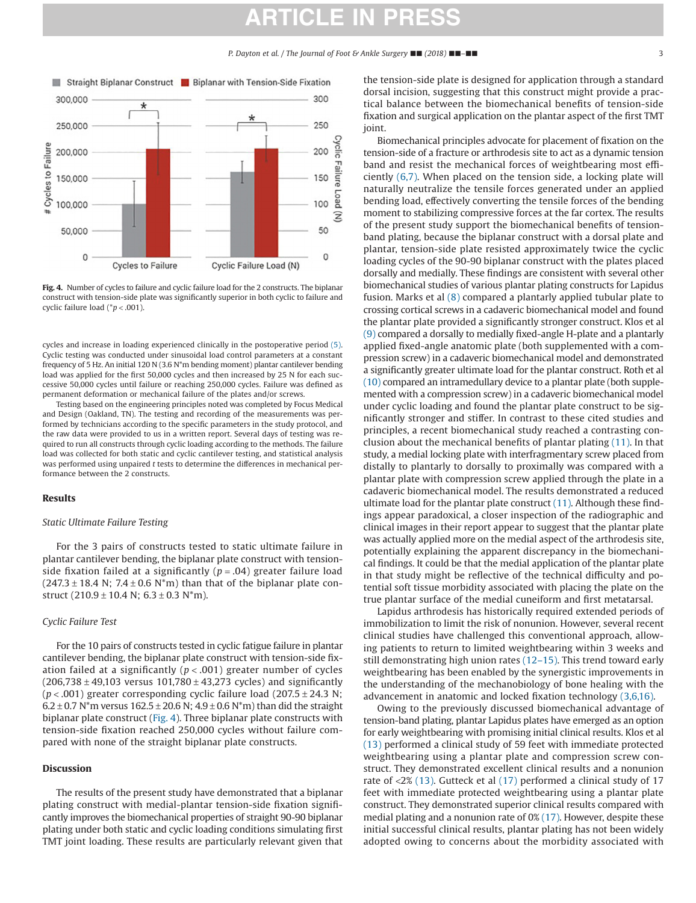### **ARTICLE IN PRESS**

*P. Dayton et al. / The Journal of Foot & Ankle Surgery* ■■ *(2018)* ■■*–*■■ 3



<span id="page-2-0"></span>**Fig. 4.** Number of cycles to failure and cyclic failure load for the 2 constructs. The biplanar construct with tension-side plate was significantly superior in both cyclic to failure and cyclic failure load (\**p* < .001).

cycles and increase in loading experienced clinically in the postoperative period [\(5\).](#page-4-2) Cyclic testing was conducted under sinusoidal load control parameters at a constant frequency of 5 Hz. An initial 120 N (3.6 N\*m bending moment) plantar cantilever bending load was applied for the first 50,000 cycles and then increased by 25 N for each successive 50,000 cycles until failure or reaching 250,000 cycles. Failure was defined as permanent deformation or mechanical failure of the plates and/or screws.

Testing based on the engineering principles noted was completed by Focus Medical and Design (Oakland, TN). The testing and recording of the measurements was performed by technicians according to the specific parameters in the study protocol, and the raw data were provided to us in a written report. Several days of testing was required to run all constructs through cyclic loading according to the methods. The failure load was collected for both static and cyclic cantilever testing, and statistical analysis was performed using unpaired *t* tests to determine the differences in mechanical performance between the 2 constructs.

#### **Results**

#### *Static Ultimate Failure Testing*

For the 3 pairs of constructs tested to static ultimate failure in plantar cantilever bending, the biplanar plate construct with tensionside fixation failed at a significantly (*p* = .04) greater failure load  $(247.3 \pm 18.4 \text{ N}; 7.4 \pm 0.6 \text{ N*m})$  than that of the biplanar plate construct  $(210.9 \pm 10.4 \text{ N}; 6.3 \pm 0.3 \text{ N*m}).$ 

#### *Cyclic Failure Test*

For the 10 pairs of constructs tested in cyclic fatigue failure in plantar cantilever bending, the biplanar plate construct with tension-side fixation failed at a significantly (*p* < .001) greater number of cycles  $(206,738 \pm 49,103$  versus  $101,780 \pm 43,273$  cycles) and significantly ( $p < .001$ ) greater corresponding cyclic failure load ( $207.5 \pm 24.3$  N;  $6.2 \pm 0.7$  N<sup>\*</sup>m versus  $162.5 \pm 20.6$  N;  $4.9 \pm 0.6$  N<sup>\*</sup>m) than did the straight biplanar plate construct [\(Fig. 4\)](#page-2-0). Three biplanar plate constructs with tension-side fixation reached 250,000 cycles without failure compared with none of the straight biplanar plate constructs.

#### **Discussion**

The results of the present study have demonstrated that a biplanar plating construct with medial-plantar tension-side fixation significantly improves the biomechanical properties of straight 90-90 biplanar plating under both static and cyclic loading conditions simulating first TMT joint loading. These results are particularly relevant given that

the tension-side plate is designed for application through a standard dorsal incision, suggesting that this construct might provide a practical balance between the biomechanical benefits of tension-side fixation and surgical application on the plantar aspect of the first TMT joint.

Biomechanical principles advocate for placement of fixation on the tension-side of a fracture or arthrodesis site to act as a dynamic tension band and resist the mechanical forces of weightbearing most efficiently [\(6,7\).](#page-4-3) When placed on the tension side, a locking plate will naturally neutralize the tensile forces generated under an applied bending load, effectively converting the tensile forces of the bending moment to stabilizing compressive forces at the far cortex. The results of the present study support the biomechanical benefits of tensionband plating, because the biplanar construct with a dorsal plate and plantar, tension-side plate resisted approximately twice the cyclic loading cycles of the 90-90 biplanar construct with the plates placed dorsally and medially. These findings are consistent with several other biomechanical studies of various plantar plating constructs for Lapidus fusion. Marks et al [\(8\)](#page-4-4) compared a plantarly applied tubular plate to crossing cortical screws in a cadaveric biomechanical model and found the plantar plate provided a significantly stronger construct. Klos et al [\(9\)](#page-4-5) compared a dorsally to medially fixed-angle H-plate and a plantarly applied fixed-angle anatomic plate (both supplemented with a compression screw) in a cadaveric biomechanical model and demonstrated a significantly greater ultimate load for the plantar construct. Roth et al [\(10\)](#page-4-6) compared an intramedullary device to a plantar plate (both supplemented with a compression screw) in a cadaveric biomechanical model under cyclic loading and found the plantar plate construct to be significantly stronger and stiffer. In contrast to these cited studies and principles, a recent biomechanical study reached a contrasting conclusion about the mechanical benefits of plantar plating [\(11\).](#page-4-7) In that study, a medial locking plate with interfragmentary screw placed from distally to plantarly to dorsally to proximally was compared with a plantar plate with compression screw applied through the plate in a cadaveric biomechanical model. The results demonstrated a reduced ultimate load for the plantar plate construct  $(11)$ . Although these findings appear paradoxical, a closer inspection of the radiographic and clinical images in their report appear to suggest that the plantar plate was actually applied more on the medial aspect of the arthrodesis site, potentially explaining the apparent discrepancy in the biomechanical findings. It could be that the medial application of the plantar plate in that study might be reflective of the technical difficulty and potential soft tissue morbidity associated with placing the plate on the true plantar surface of the medial cuneiform and first metatarsal.

Lapidus arthrodesis has historically required extended periods of immobilization to limit the risk of nonunion. However, several recent clinical studies have challenged this conventional approach, allowing patients to return to limited weightbearing within 3 weeks and still demonstrating high union rates [\(12–15\).](#page-4-8) This trend toward early weightbearing has been enabled by the synergistic improvements in the understanding of the mechanobiology of bone healing with the advancement in anatomic and locked fixation technology [\(3,6,16\).](#page-4-1)

Owing to the previously discussed biomechanical advantage of tension-band plating, plantar Lapidus plates have emerged as an option for early weightbearing with promising initial clinical results. Klos et al [\(13\)](#page-4-9) performed a clinical study of 59 feet with immediate protected weightbearing using a plantar plate and compression screw construct. They demonstrated excellent clinical results and a nonunion rate of <2% [\(13\).](#page-4-9) Gutteck et al [\(17\)](#page-4-10) performed a clinical study of 17 feet with immediate protected weightbearing using a plantar plate construct. They demonstrated superior clinical results compared with medial plating and a nonunion rate of 0% [\(17\).](#page-4-10) However, despite these initial successful clinical results, plantar plating has not been widely adopted owing to concerns about the morbidity associated with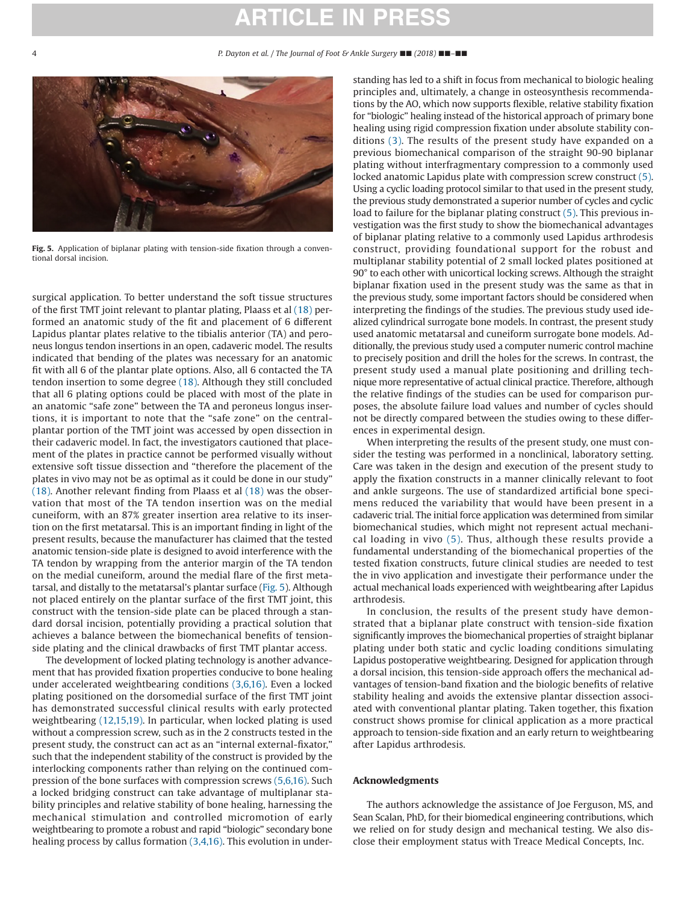### **ARTICLE IN PR**



**Fig. 5.** Application of biplanar plating with tension-side fixation through a conventional dorsal incision.

<span id="page-3-0"></span>surgical application. To better understand the soft tissue structures of the first TMT joint relevant to plantar plating, Plaass et al [\(18\)](#page-4-11) performed an anatomic study of the fit and placement of 6 different Lapidus plantar plates relative to the tibialis anterior (TA) and peroneus longus tendon insertions in an open, cadaveric model. The results indicated that bending of the plates was necessary for an anatomic fit with all 6 of the plantar plate options. Also, all 6 contacted the TA tendon insertion to some degree [\(18\).](#page-4-11) Although they still concluded that all 6 plating options could be placed with most of the plate in an anatomic "safe zone" between the TA and peroneus longus insertions, it is important to note that the "safe zone" on the centralplantar portion of the TMT joint was accessed by open dissection in their cadaveric model. In fact, the investigators cautioned that placement of the plates in practice cannot be performed visually without extensive soft tissue dissection and "therefore the placement of the plates in vivo may not be as optimal as it could be done in our study" [\(18\).](#page-4-11) Another relevant finding from Plaass et al [\(18\)](#page-4-11) was the observation that most of the TA tendon insertion was on the medial cuneiform, with an 87% greater insertion area relative to its insertion on the first metatarsal. This is an important finding in light of the present results, because the manufacturer has claimed that the tested anatomic tension-side plate is designed to avoid interference with the TA tendon by wrapping from the anterior margin of the TA tendon on the medial cuneiform, around the medial flare of the first metatarsal, and distally to the metatarsal's plantar surface [\(Fig. 5\)](#page-3-0). Although not placed entirely on the plantar surface of the first TMT joint, this construct with the tension-side plate can be placed through a standard dorsal incision, potentially providing a practical solution that achieves a balance between the biomechanical benefits of tensionside plating and the clinical drawbacks of first TMT plantar access.

The development of locked plating technology is another advancement that has provided fixation properties conducive to bone healing under accelerated weightbearing conditions [\(3,6,16\).](#page-4-1) Even a locked plating positioned on the dorsomedial surface of the first TMT joint has demonstrated successful clinical results with early protected weightbearing [\(12,15,19\).](#page-4-8) In particular, when locked plating is used without a compression screw, such as in the 2 constructs tested in the present study, the construct can act as an "internal external-fixator," such that the independent stability of the construct is provided by the interlocking components rather than relying on the continued compression of the bone surfaces with compression screws [\(5,6,16\).](#page-4-2) Such a locked bridging construct can take advantage of multiplanar stability principles and relative stability of bone healing, harnessing the mechanical stimulation and controlled micromotion of early weightbearing to promote a robust and rapid "biologic" secondary bone healing process by callus formation [\(3,4,16\).](#page-4-1) This evolution in understanding has led to a shift in focus from mechanical to biologic healing principles and, ultimately, a change in osteosynthesis recommendations by the AO, which now supports flexible, relative stability fixation for "biologic" healing instead of the historical approach of primary bone healing using rigid compression fixation under absolute stability conditions [\(3\).](#page-4-1) The results of the present study have expanded on a previous biomechanical comparison of the straight 90-90 biplanar plating without interfragmentary compression to a commonly used locked anatomic Lapidus plate with compression screw construct [\(5\).](#page-4-2) Using a cyclic loading protocol similar to that used in the present study, the previous study demonstrated a superior number of cycles and cyclic load to failure for the biplanar plating construct [\(5\).](#page-4-2) This previous investigation was the first study to show the biomechanical advantages of biplanar plating relative to a commonly used Lapidus arthrodesis construct, providing foundational support for the robust and multiplanar stability potential of 2 small locked plates positioned at 90° to each other with unicortical locking screws. Although the straight biplanar fixation used in the present study was the same as that in the previous study, some important factors should be considered when interpreting the findings of the studies. The previous study used idealized cylindrical surrogate bone models. In contrast, the present study used anatomic metatarsal and cuneiform surrogate bone models. Additionally, the previous study used a computer numeric control machine to precisely position and drill the holes for the screws. In contrast, the present study used a manual plate positioning and drilling technique more representative of actual clinical practice. Therefore, although the relative findings of the studies can be used for comparison purposes, the absolute failure load values and number of cycles should not be directly compared between the studies owing to these differences in experimental design.

When interpreting the results of the present study, one must consider the testing was performed in a nonclinical, laboratory setting. Care was taken in the design and execution of the present study to apply the fixation constructs in a manner clinically relevant to foot and ankle surgeons. The use of standardized artificial bone specimens reduced the variability that would have been present in a cadaveric trial. The initial force application was determined from similar biomechanical studies, which might not represent actual mechanical loading in vivo [\(5\).](#page-4-2) Thus, although these results provide a fundamental understanding of the biomechanical properties of the tested fixation constructs, future clinical studies are needed to test the in vivo application and investigate their performance under the actual mechanical loads experienced with weightbearing after Lapidus arthrodesis.

In conclusion, the results of the present study have demonstrated that a biplanar plate construct with tension-side fixation significantly improves the biomechanical properties of straight biplanar plating under both static and cyclic loading conditions simulating Lapidus postoperative weightbearing. Designed for application through a dorsal incision, this tension-side approach offers the mechanical advantages of tension-band fixation and the biologic benefits of relative stability healing and avoids the extensive plantar dissection associated with conventional plantar plating. Taken together, this fixation construct shows promise for clinical application as a more practical approach to tension-side fixation and an early return to weightbearing after Lapidus arthrodesis.

#### **Acknowledgments**

The authors acknowledge the assistance of Joe Ferguson, MS, and Sean Scalan, PhD, for their biomedical engineering contributions, which we relied on for study design and mechanical testing. We also disclose their employment status with Treace Medical Concepts, Inc.